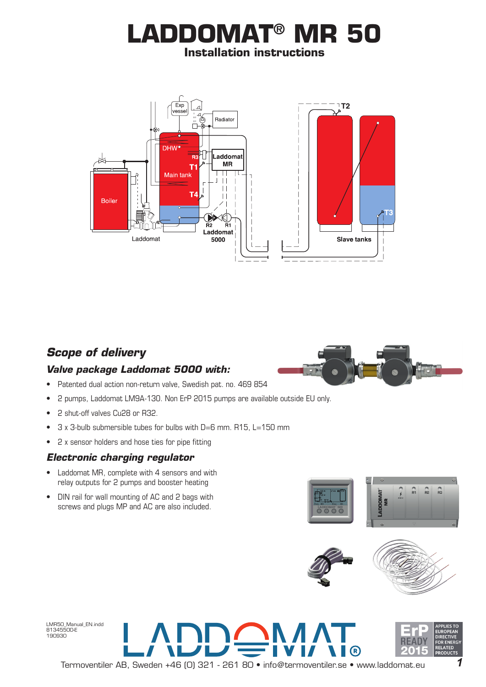# **LADDOMAT® MR 50 Installation instructions**



# *Scope of delivery Valve package Laddomat 5000 with:*



- Patented dual action non-return valve, Swedish pat. no. 469 854
- 2 pumps, Laddomat LM9A-130. Non ErP 2015 pumps are available outside EU only.
- 2 shut-off valves Cu28 or R32.
- 3 x 3-bulb submersible tubes for bulbs with D=6 mm. R15, L=150 mm
- 2 x sensor holders and hose ties for pipe fitting

#### *Electronic charging regulator*

- Laddomat MR, complete with 4 sensors and with relay outputs for 2 pumps and booster heating
- DIN rail for wall mounting of AC and 2 bags with screws and plugs MP and AC are also included.





R)



LMR50\_Manual\_EN.indd 81345500-E 190930



 $\sqrt{ }$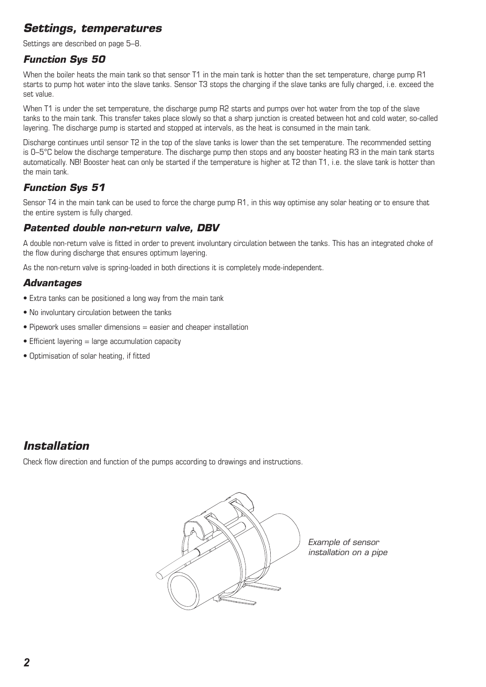# *Settings, temperatures*

Settings are described on page 5–8.

#### *Function Sys 50*

When the boiler heats the main tank so that sensor T1 in the main tank is hotter than the set temperature, charge pump R1 starts to pump hot water into the slave tanks. Sensor T3 stops the charging if the slave tanks are fully charged, i.e. exceed the set value.

When T1 is under the set temperature, the discharge pump R2 starts and pumps over hot water from the top of the slave tanks to the main tank. This transfer takes place slowly so that a sharp junction is created between hot and cold water, so-called layering. The discharge pump is started and stopped at intervals, as the heat is consumed in the main tank.

Discharge continues until sensor T2 in the top of the slave tanks is lower than the set temperature. The recommended setting is 0–5°C below the discharge temperature. The discharge pump then stops and any booster heating R3 in the main tank starts automatically. NB! Booster heat can only be started if the temperature is higher at T2 than T1, i.e. the slave tank is hotter than the main tank.

#### *Function Sys 51*

Sensor T4 in the main tank can be used to force the charge pump R1, in this way optimise any solar heating or to ensure that the entire system is fully charged.

#### *Patented double non-return valve, DBV*

A double non-return valve is fitted in order to prevent involuntary circulation between the tanks. This has an integrated choke of the flow during discharge that ensures optimum layering.

As the non-return valve is spring-loaded in both directions it is completely mode-independent.

#### *Advantages*

- Extra tanks can be positioned a long way from the main tank
- No involuntary circulation between the tanks
- $\bullet$  Pipework uses smaller dimensions  $=$  easier and cheaper installation
- $\bullet$  Efficient layering  $=$  large accumulation capacity
- Optimisation of solar heating, if fitted

## *Installation*

Check flow direction and function of the pumps according to drawings and instructions.



*Example of sensor installation on a pipe*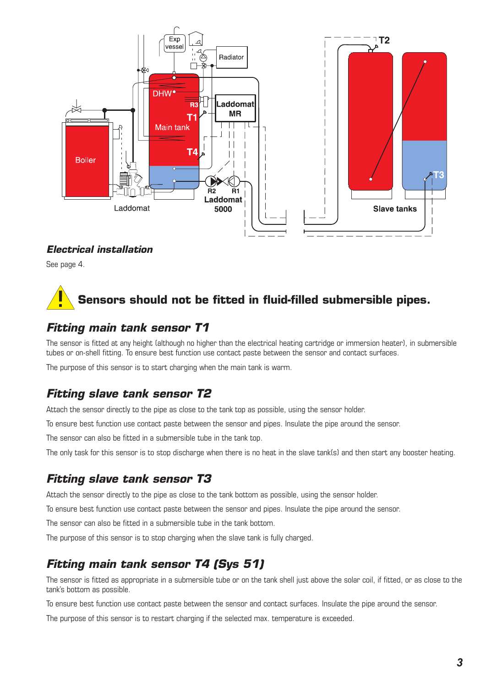

#### *Electrical installation*

See page 4.

# **Sensors should not be fitted in fluid-filled submersible pipes.**

# *Fitting main tank sensor T1*

The sensor is fitted at any height (although no higher than the electrical heating cartridge or immersion heater), in submersible tubes or on-shell fitting. To ensure best function use contact paste between the sensor and contact surfaces.

The purpose of this sensor is to start charging when the main tank is warm.

# *Fitting slave tank sensor T2*

Attach the sensor directly to the pipe as close to the tank top as possible, using the sensor holder.

To ensure best function use contact paste between the sensor and pipes. Insulate the pipe around the sensor.

The sensor can also be fitted in a submersible tube in the tank top.

The only task for this sensor is to stop discharge when there is no heat in the slave tank(s) and then start any booster heating.

# *Fitting slave tank sensor T3*

Attach the sensor directly to the pipe as close to the tank bottom as possible, using the sensor holder.

To ensure best function use contact paste between the sensor and pipes. Insulate the pipe around the sensor.

The sensor can also be fitted in a submersible tube in the tank bottom.

The purpose of this sensor is to stop charging when the slave tank is fully charged.

# *Fitting main tank sensor T4 (Sys 51)*

The sensor is fitted as appropriate in a submersible tube or on the tank shell just above the solar coil, if fitted, or as close to the tank's bottom as possible.

To ensure best function use contact paste between the sensor and contact surfaces. Insulate the pipe around the sensor.

The purpose of this sensor is to restart charging if the selected max. temperature is exceeded.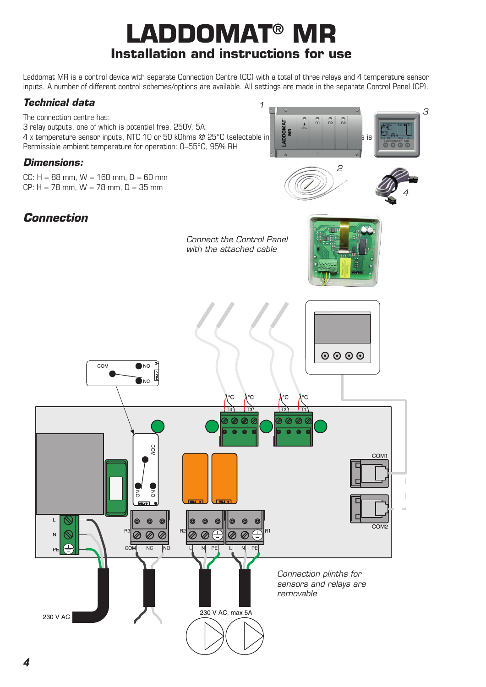# LADDOMAT® **Installation and instructions for use**

Laddomat MR is a control device with separate Connection Centre (CC) with a total of three relays and 4 temperature sensor inputs. A number of different control schemes/options are available. All settings are made in the separate Control Panel (CP).

*1*

#### *Technical data*

The connection centre has: 3 relay outputs, one of which is potential free. 250V, 5A. The connection centre rias:<br>  $\begin{array}{c|c|c|c|c|c|c|c|c} \text{A} & \text{A} & \text{B} & \text{C} & \text{A} \end{array}$ <br>  $\begin{array}{c|c|c|c|c} \text{A} & \text{C} & \text{A} & \text{A} & \text{A} \end{array}$ Permissible ambient temperature for operation: 0–55°C, 95% RH

#### *Dimensions:*

 $CC: H = 88$  mm,  $W = 160$  mm,  $D = 60$  mm CP:  $H = 78$  mm,  $W = 78$  mm,  $D = 35$  mm



*3*

# *Connection*

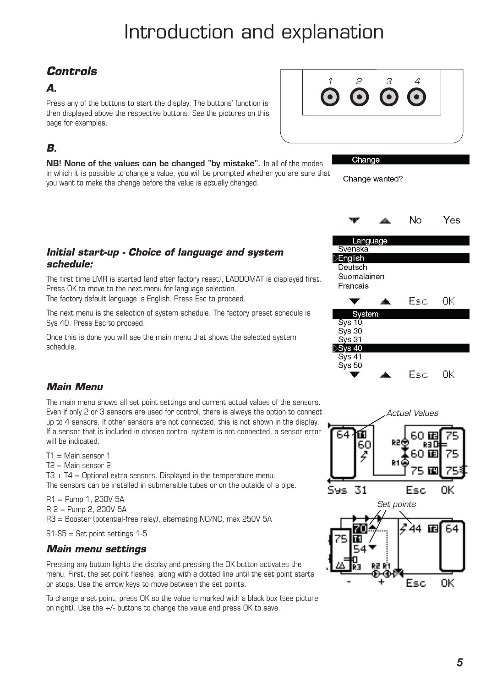# Introduction and explanation

# *Controls*

#### *A.*

Press any of the buttons to start the display. The buttons' function is then displayed above the respective buttons. See the pictures on this page for examples.

# *B.*

NB! None of the values can be changed "by mistake". In all of the modes in which it is possible to change a value, you will be prompted whether you are sure that you want to make the change before the value is actually changed.



Change

Change wanted?







Esc

#### *Initial start-up - Choice of language and system schedule:*

The first time LMR is started (and after factory reset), LADDOMAT is displayed first. Press OK to move to the next menu for language selection. The factory default language is English. Press Esc to proceed.

The next menu is the selection of system schedule. The factory preset schedule is Sys 40. Press Esc to proceed.

Once this is done you will see the main menu that shows the selected system schedule.

#### *Main Menu*

The main menu shows all set point settings and current actual values of the sensors. Even if only 2 or 3 sensors are used for control, there is always the option to connect up to 4 sensors. If other sensors are not connected, this is not shown in the display. If a sensor that is included in chosen control system is not connected, a sensor error will be indicated.

 $T1 =$  Main sensor 1  $T2 =$  Main sensor 2  $T3 + T4 =$  Optional extra sensors. Displayed in the temperature menu. The sensors can be installed in submersible tubes or on the outside of a pipe.

R1 = Pump 1, 230V 5A R 2 = Pump 2, 230V 5A R3 = Booster (potential-free relay), alternating NO/NC, max 250V 5A

 $S1-S5 = Set point$  settings 1-5

#### *Main menu settings*

Pressing any button lights the display and pressing the OK button activates the menu. First, the set point flashes, along with a dotted line until the set point starts or stops. Use the arrow keys to move between the set points.

To change a set point, press OK so the value is marked with a black box (see picture on right). Use the +/- buttons to change the value and press OK to save.

ОK.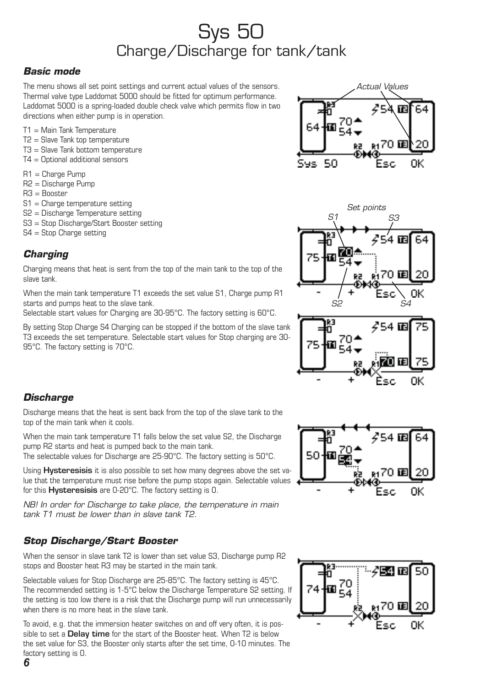# Sys 50 Charge/Discharge for tank/tank

#### *Basic mode*

The menu shows all set point settings and current actual values of the sensors. Thermal valve type Laddomat 5000 should be fitted for optimum performance. Laddomat 5000 is a spring-loaded double check valve which permits flow in two directions when either pump is in operation.

- T1 = Main Tank Temperature
- $T2 =$  Slave Tank top temperature
- T3 = Slave Tank bottom temperature
- T4 = Optional additional sensors
- R1 = Charge Pump
- R2 = Discharge Pump
- $B3 =$ Booster
- S1 = Charge temperature setting
- S2 = Discharge Temperature setting
- S3 = Stop Discharge/Start Booster setting
- S4 = Stop Charge setting

#### *Charging*

Charging means that heat is sent from the top of the main tank to the top of the slave tank.

When the main tank temperature T1 exceeds the set value S1. Charge pump R1 starts and pumps heat to the slave tank.

Selectable start values for Charging are 30-95°C. The factory setting is 60°C.

By setting Stop Charge S4 Charging can be stopped if the bottom of the slave tank T3 exceeds the set temperature. Selectable start values for Stop charging are 30- 95°C. The factory setting is 70°C.







#### *Discharge*

Discharge means that the heat is sent back from the top of the slave tank to the top of the main tank when it cools.

When the main tank temperature T1 falls below the set value S2, the Discharge pump R2 starts and heat is pumped back to the main tank.

The selectable values for Discharge are 25-90°C. The factory setting is 50°C.

Using **Hysteresisis** it is also possible to set how many degrees above the set value that the temperature must rise before the pump stops again. Selectable values for this Hysteresisis are 0-20°C. The factory setting is 0.

*NB! In order for Discharge to take place, the temperature in main tank T1 must be lower than in slave tank T2.* 

#### *Stop Discharge/Start Booster*

When the sensor in slave tank T2 is lower than set value S3, Discharge pump R2 stops and Booster heat R3 may be started in the main tank.

Selectable values for Stop Discharge are 25-85°C. The factory setting is 45°C. The recommended setting is 1-5°C below the Discharge Temperature S2 setting. If the setting is too low there is a risk that the Discharge pump will run unnecessarily when there is no more heat in the slave tank.

To avoid, e.g. that the immersion heater switches on and off very often, it is possible to set a **Delay time** for the start of the Booster heat. When T2 is below the set value for S3, the Booster only starts after the set time, 0-10 minutes. The factory setting is 0.



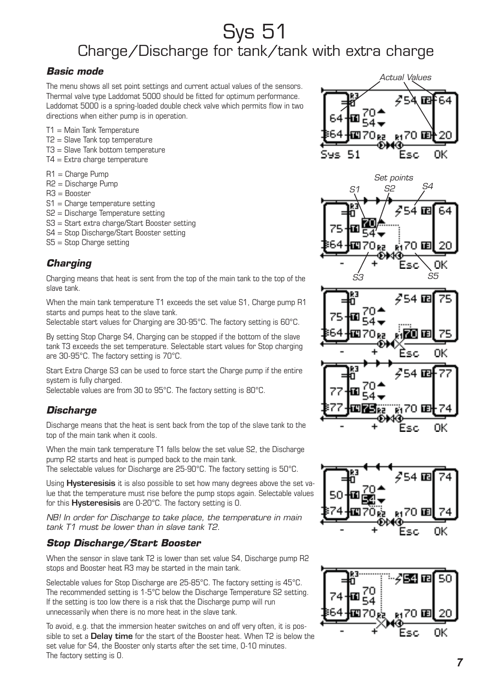# Sys 51 Charge/Discharge for tank/tank with extra charge

#### *Basic mode*

The menu shows all set point settings and current actual values of the sensors. Thermal valve type Laddomat 5000 should be fitted for optimum performance. Laddomat 5000 is a spring-loaded double check valve which permits flow in two directions when either pump is in operation.

- T1 = Main Tank Temperature
- T2 = Slave Tank top temperature
- T3 = Slave Tank bottom temperature
- $T4 =$  Extra charge temperature
- R1 = Charge Pump
- R2 = Discharge Pump
- $B3 =$ Booster
- S1 = Charge temperature setting
- S2 = Discharge Temperature setting
- S3 = Start extra charge/Start Booster setting
- S4 = Stop Discharge/Start Booster setting
- S5 = Stop Charge setting

#### *Charging*

Charging means that heat is sent from the top of the main tank to the top of the slave tank.

When the main tank temperature T1 exceeds the set value S1. Charge pump R1 starts and pumps heat to the slave tank.

Selectable start values for Charging are 30-95°C. The factory setting is 60°C.

By setting Stop Charge S4, Charging can be stopped if the bottom of the slave tank T3 exceeds the set temperature. Selectable start values for Stop charging are 30-95°C. The factory setting is 70°C.

Start Extra Charge S3 can be used to force start the Charge pump if the entire system is fully charged.

Selectable values are from 30 to 95°C. The factory setting is 80°C.

## *Discharge*

Discharge means that the heat is sent back from the top of the slave tank to the top of the main tank when it cools.

When the main tank temperature T1 falls below the set value S2, the Discharge pump R2 starts and heat is pumped back to the main tank.

The selectable values for Discharge are 25-90°C. The factory setting is 50°C.

Using **Hysteresisis** it is also possible to set how many degrees above the set value that the temperature must rise before the pump stops again. Selectable values for this Hysteresisis are 0-20°C. The factory setting is 0.

*NB! In order for Discharge to take place, the temperature in main tank T1 must be lower than in slave tank T2.*

#### *Stop Discharge/Start Booster*

When the sensor in slave tank T2 is lower than set value S4. Discharge pump R2 stops and Booster heat R3 may be started in the main tank.

Selectable values for Stop Discharge are 25-85°C. The factory setting is 45°C. The recommended setting is 1-5°C below the Discharge Temperature S2 setting. If the setting is too low there is a risk that the Discharge pump will run unnecessarily when there is no more heat in the slave tank.

To avoid, e.g. that the immersion heater switches on and off very often, it is possible to set a **Delay time** for the start of the Booster heat. When T2 is below the set value for S4, the Booster only starts after the set time, 0-10 minutes. The factory setting is 0.